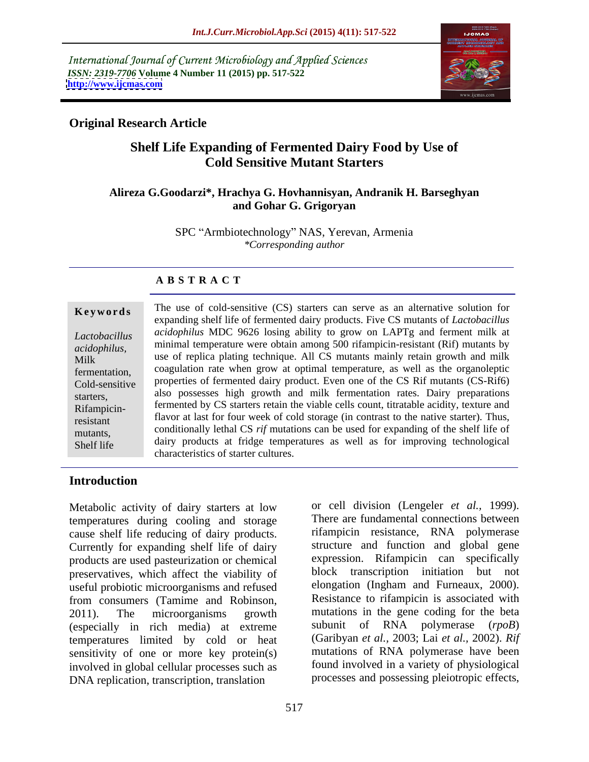International Journal of Current Microbiology and Applied Sciences *ISSN: 2319-7706* **Volume 4 Number 11 (2015) pp. 517-522 <http://www.ijcmas.com>**



### **Original Research Article**

## **Shelf Life Expanding of Fermented Dairy Food by Use of Cold Sensitive Mutant Starters**

#### **Alireza G.Goodarzi\*, Hrachya G. Hovhannisyan, Andranik H. Barseghyan and Gohar G. Grigoryan**

SPC "Armbiotechnology" NAS, Yerevan, Armenia *\*Corresponding author*

### **A B S T R A C T**

Rifampicin-Shelf life

**Keywords** The use of cold-sensitive (CS) starters can serve as an alternative solution for expanding shelf life of fermented dairy products. Five CS mutants of *Lactobacillus acidophilus* MDC 9626 losing ability to grow on LAPTg and ferment milk at *Lactobacillus*  minimal temperature were obtain among 500 rifampicin-resistant (Rif) mutants by *acidophilus,*  Milk use of replica plating technique. All CS mutants mainly retain growth and milk fermentation, coagulation rate when grow at optimal temperature, as well as the organoleptic properties of fermented dairy product. Even one of the CS Rif mutants (CS-Rif6) Cold-sensitive starters, also possesses high growth and milk fermentation rates. Dairy preparations fermented by CS starters retain the viable cells count, titratable acidity, texture and flavor at last for four week of cold storage (in contrast to the native starter). Thus, resistant mutants, conditionally lethal CS *rif* mutations can be used for expanding of the shelf life of dairy products at fridge temperatures as well as for improving technological characteristics of starter cultures.

#### **Introduction**

Metabolic activity of dairy starters at low temperatures during cooling and storage cause shelf life reducing of dairy products. Currently for expanding shelf life of dairy products are used pasteurization or chemical preservatives, which affect the viability of useful probiotic microorganisms and refused from consumers (Tamime and Robinson, 2011). The microorganisms growth mutations in the gene coding for the beta (especially in rich media) at extreme temperatures limited by cold or heat sensitivity of one or more key protein(s) involved in global cellular processes such as DNA replication, transcription, translation

or cell division (Lengeler *et al.,* 1999). There are fundamental connections between rifampicin resistance, RNA polymerase structure and function and global gene expression. Rifampicin can specifically block transcription initiation but not elongation (Ingham and Furneaux, 2000). Resistance to rifampicin is associated with subunit of RNA polymerase (*rpoB*) (Garibyan *et al.,* 2003; Lai *et al.,* 2002). *Rif* mutations of RNA polymerase have been found involved in a variety of physiological processes and possessing pleiotropic effects,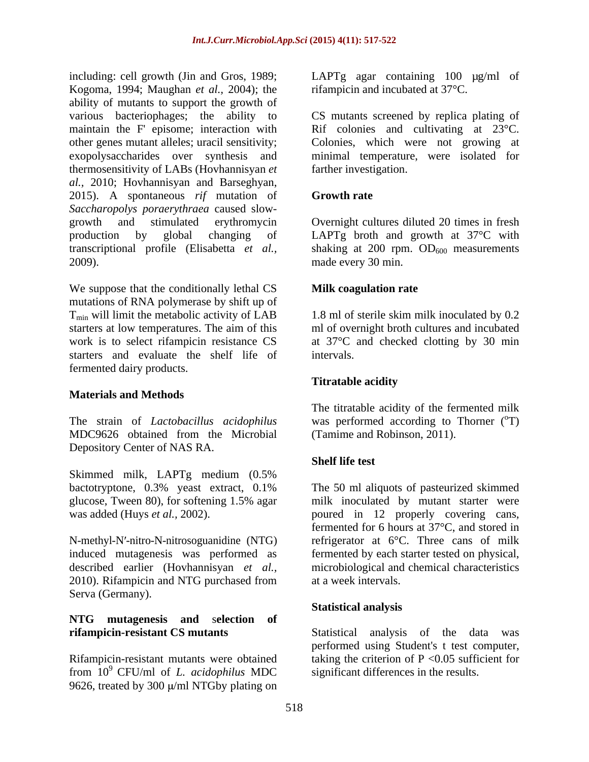including: cell growth (Jin and Gros, 1989; LAPTg agar containing 100 µg/ml of Kogoma, 1994; Maughan *et al.,* 2004); the ability of mutants to support the growth of various bacteriophages; the ability to CS mutants screened by replica plating of maintain the F' episome; interaction with Rif colonies and cultivating at 23<sup>o</sup>C. other genes mutant alleles; uracil sensitivity; Colonies, which were not growing at exopolysaccharides over synthesis and minimal temperature, were isolated for thermosensitivity of LABs (Hovhannisyan *et al.,* 2010; Hovhannisyan and Barseghyan, 2015). A spontaneous *rif* mutation of *Saccharopolys poraerythraea* caused slow growth and stimulated erythromycin Overnight cultures diluted 20 times in fresh production by global changing of LAPTg broth and growth at 37°C with transcriptional profile (Elisabetta *et al.*, shaking at 200 rpm. OD<sub>600</sub> measurements 2009). made every 30 min.

We suppose that the conditionally lethal CS **Milk coagulation rate** mutations of RNA polymerase by shift up of  $T_{\text{min}}$  will limit the metabolic activity of LAB 1.8 ml of sterile skim milk inoculated by 0.2 starters at low temperatures. The aim of this work is to select rifampicin resistance CS at 37°C and checked clotting by 30 min starters and evaluate the shelf life of intervals. fermented dairy products.

#### **Materials and Methods**

MDC9626 obtained from the Microbial Depository Center of NAS RA.

Skimmed milk, LAPTg medium (0.5% bactotryptone, 0.3% yeast extract, 0.1%

N-methyl-N -nitro-N-nitrosoguanidine (NTG) induced mutagenesis was performed as 2010). Rifampicin and NTG purchased from at a week intervals. Serva (Germany).

# **NTG mutagenesis and** s**election of**

from 10<sup>9</sup> CFU/ml of *L. acidophilus* MDC 9626, treated by 300  $\mu$ /ml NTGby plating on rifampicin and incubated at 37°C.

farther investigation.

### **Growth rate**

made every 30 min.

#### **Milk coagulation rate**

ml of overnight broth cultures and incubated intervals.

#### **Titratable acidity**

The strain of *Lactobacillus acidophilus* was performed according to Thorner (<sup>o</sup>T) The titratable acidity of the fermented milk (Tamime and Robinson, 2011).

#### **Shelf life test**

glucose, Tween 80), for softening 1.5% agar milk inoculated by mutant starter were was added (Huys *et al.*, 2002). **poured** in 12 properly covering cans, described earlier (Hovhannisyan *et al.,* microbiological and chemical characteristics The 50 ml aliquots of pasteurized skimmed fermented for 6 hours at 37°C, and stored in refrigerator at 6°C. Three cans of milk fermented by each starter tested on physical, at a week intervals.

#### **Statistical analysis**

**rifampicin-resistant CS mutants** Statistical analysis of the data was Rifampicin-resistant mutants were obtained taking the criterion of P <0.05 sufficient for performed using Student's t test computer, significant differences in the results.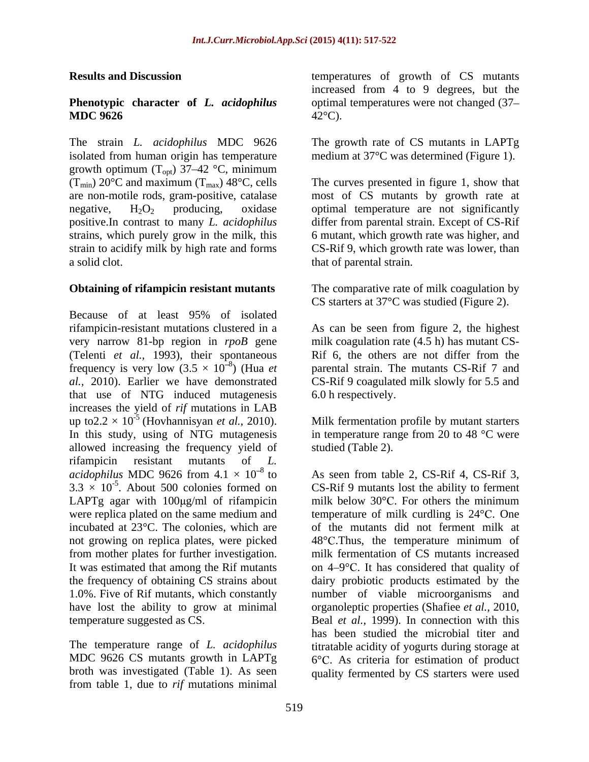## **MDC 9626**

The strain *L. acidophilus* MDC 9626 The growth rate of CS mutants in LAPTg isolated from human origin has temperature medium at 37°C was determined (Figure 1). growth optimum  $(T_{opt})$  37–42 °C, minimum<br>(T<sub>min</sub>) 20°C and maximum (T<sub>max</sub>) 48°C, cells

#### **Obtaining of rifampicin resistant mutants**

Because of at least 95% of isolated rifampicin-resistant mutations clustered in a As can be seen from figure 2, the highest very narrow 81-bp region in *rpoB* gene milk coagulation rate (4.5 h) has mutant CS- (Telenti *et al.,* 1993), their spontaneous Rif 6, the others are not differ from the frequency is very low  $(3.5 \times 10^{-8})$  (Hua *et*) *al.,* 2010). Earlier we have demonstrated CS-Rif 9 coagulated milk slowly for 5.5 and that use of NTG induced mutagenesis 6.0 h respectively. increases the yield of *rif* mutations in LAB up to  $2.2 \times 10^{-5}$  (Hovhannisyan *et al.*, 2010). In this study, using of NTG mutagenesis allowed increasing the frequency yield of studied (Table 2).  $r$  if amplicing resistant mutants of  $L$ . rifampicin resistant mutants of *L. acidophilus* MDC 9626 from  $4.1 \times 10^{-8}$  to As seen from table 2, CS-Rif 4, CS-Rif 3,  $3.3 \times 10^{-5}$ . About 500 colonies formed on were replica plated on the same medium and not growing on replica plates, were picked 48°C. Thus, the temperature minimum of from mother plates for further investigation.

The temperature range of *L. acidophilus* broth was investigated (Table 1). As seen quality fermented by CS starters were usedfrom table 1, due to *rif* mutations minimal

**Results and Discussion** temperatures of growth of CS mutants **Phenotypic character of** *L. acidophilus* optimal temperatures were not changed (37– increased from 4 to 9 degrees, but the  $42^{\circ}\text{C}$ ).

 $(T_{min})$  20<sup>o</sup>C and maximum  $(T_{max})$  48<sup>o</sup>C, cells The curves presented in figure 1, show that are non-motile rods, gram-positive, catalase most of CS mutants by growth rate at negative,  $H_2O_2$  producing, oxidase optimal temperature are not significantly positive.In contrast to many *L. acidophilus* differ from parental strain. Except of CS-Rif strains, which purely grow in the milk, this 6 mutant, which growth rate was higher, and strain to acidify milk by high rate and forms CS-Rif 9, which growth rate waslower, than a solid clot. The solid clot. The solid clot. that of parental strain.

> The comparative rate of milk coagulation by CS starters at 37°C was studied (Figure 2).

) (Hua *et*  parental strain. The mutants CS-Rif 7 and 6.0 h respectively.

(Hovhannisyan *et al.,* 2010). Milk fermentation profile by mutant starters in temperature range from 20 to 48 °C were studied (Table 2).

to As seen from table 2, CS-Rif 4, CS-Rif 3, . About 500 colonies formed on CS-Rif 9 mutants lost the ability to ferment LAPTg agar with  $100 \mu g/ml$  of rifampicin milk below 30°C. For others the minimum incubated at 23°C. The colonies, which are of the mutants did not ferment milk at It was estimated that among the Rif mutants on 4–9°C. It has considered that quality of the frequency of obtaining CS strains about dairy probiotic products estimated by the 1.0%. Five of Rif mutants, which constantly number of viable microorganisms and have lost the ability to grow at minimal organoleptic properties (Shafiee *et al.,* 2010, temperature suggested as CS. Beal *et al.*, 1999). In connection with this MDC 9626 CS mutants growth in LAPTg  $6^{\circ}$ C. As criteria for estimation of product temperature of milk curdling is  $24^{\circ}$ C. One  $48^{\circ}$ C.Thus, the temperature minimum of milk fermentation of CS mutants increased has been studied the microbial titer and titratable acidity of yogurts during storage at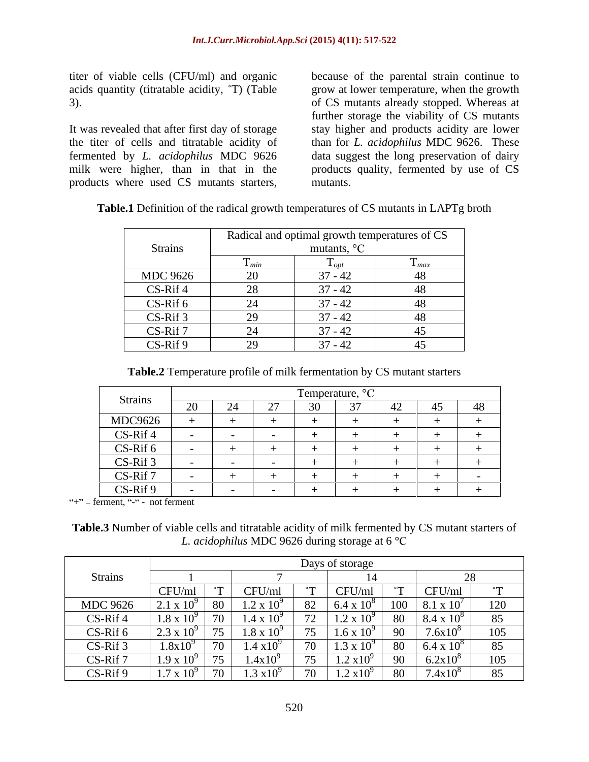It was revealed that after first day of storage products where used CS mutants starters,

titer of viable cells (CFU/ml) and organic because of the parental strain continue to acids quantity (titratable acidity,  $\hat{T}$ ) (Table grow at lower temperature, when the growth 3). of CS mutants already stopped. Whereas at the titer of cells and titratable acidity of than for *L. acidophilus* MDC 9626. These fermented by *L. acidophilus* MDC 9626 data suggest the long preservation of dairy milk were higher, than in that in the products quality, fermented by use of CS further storage the viability of CS mutants stay higher and products acidity are lower mutants.

 $CS-Rif 7$  24 37 - 42 45  $CS-Rif 9$  29 37 - 42 45

| <b>Strains</b>  |                          | Radical and optimal growth temperatures of CS<br>$\Omega$<br>mutants, |       |  |
|-----------------|--------------------------|-----------------------------------------------------------------------|-------|--|
|                 | $\blacksquare$ min       |                                                                       | - max |  |
| <b>MDC 9626</b> |                          | $\sim$<br>$71 - 44$                                                   |       |  |
| CS-Rif 4        | $\overline{\phantom{0}}$ | $\sim$ $\sim$<br>$\sqrt{2}$<br>71 – 4                                 |       |  |
| CS-Rif 6        |                          | $\sim$<br>$71 - 4$                                                    |       |  |
| CS-Rif 3        |                          | $\sim$<br>$1 - 44$                                                    |       |  |

**Table.1** Definition of the radical growth temperatures of CS mutants in LAPTg broth

| Table.2 Temperature profile of milk fermentation I | $\sim$<br>S mutant starters<br>hv ( |  |  |  |
|----------------------------------------------------|-------------------------------------|--|--|--|
|                                                    |                                     |  |  |  |

| Strains    | Temperature, $\mathrm{C}$            |        |             |  |        |  |               |            |
|------------|--------------------------------------|--------|-------------|--|--------|--|---------------|------------|
|            | $\Omega$<br>$\overline{\phantom{0}}$ | $\sim$ | $\sim$<br>∼ |  | $\sim$ |  | $\rightarrow$ | $\sqrt{2}$ |
| MDC9626    |                                      |        |             |  |        |  |               |            |
| $CS-Rif 4$ |                                      |        |             |  |        |  |               |            |
| CS-Rif 6   |                                      |        |             |  |        |  |               |            |
| CS-Rif 3   |                                      |        |             |  |        |  |               |            |
| CS-Rif 7   |                                      |        |             |  |        |  |               |            |
| CS-Rif 9   |                                      |        |             |  |        |  |               |            |

 $+$ " $-$  ferment, " $-$ " $-$  not ferment

**Table.3** Number of viable cells and titratable acidity of milk fermented by CS mutant starters of *L. acidophilus* MDC 9626 during storage at 6 °

|                 |                                                        |                     |                                 | Days of storage             |                         |                     |                         |
|-----------------|--------------------------------------------------------|---------------------|---------------------------------|-----------------------------|-------------------------|---------------------|-------------------------|
| <b>Strains</b>  |                                                        |                     |                                 |                             |                         |                     |                         |
|                 | $\sim$<br>CFU/m                                        | CFU/ml              |                                 | $\sim$ $\Gamma$ $\sim$      | $\circ$                 | CFU/ml              | 0.000                   |
| <b>MDC 9626</b> | Qf<br>$\sigma v$<br>$2.1 \, \text{A}$ 10               | 1.2 x               | ◡∸                              |                             | 100                     | $8.1 \times 10^{7}$ | $1^{\prime}$<br>⊥∠∪     |
| CS-Rif 4        | $1.8 \times 10$                                        | 1.4x                | - -                             |                             | $\cup$                  | 0.4 A 10            | 85                      |
| CS-Rif 6        | $\sim$<br>$\sim$ $\sim$ $\sim$ $\sim$ $\sim$<br>$\sim$ | $1.8 \times 10^{9}$ | - -<br>$\overline{\phantom{a}}$ | $1.6 \text{ X } 10^{\circ}$ | ╱◡                      | $7.6x10^8$          | 105                     |
| CS-Rif 3        | $1.8x10^9$                                             | $1.4 \times 10^{4}$ |                                 |                             | $\cup$                  | 0.4 A 10            | $Q_{\mathcal{L}}$<br>8J |
| $CS-Rif$        | $1.7 \Delta 10$                                        | 1.4x10              | - -                             | $1.2 \lambda 1$             | $\sim$ $\sim$           | $6.2x10^{8}$        | 105                     |
| CS-Rif 9        |                                                        | $1.3 \times 10$     |                                 | 1.4 A1                      | $\mathbf{O} \mathbf{U}$ | $.4x10^8$           | 85                      |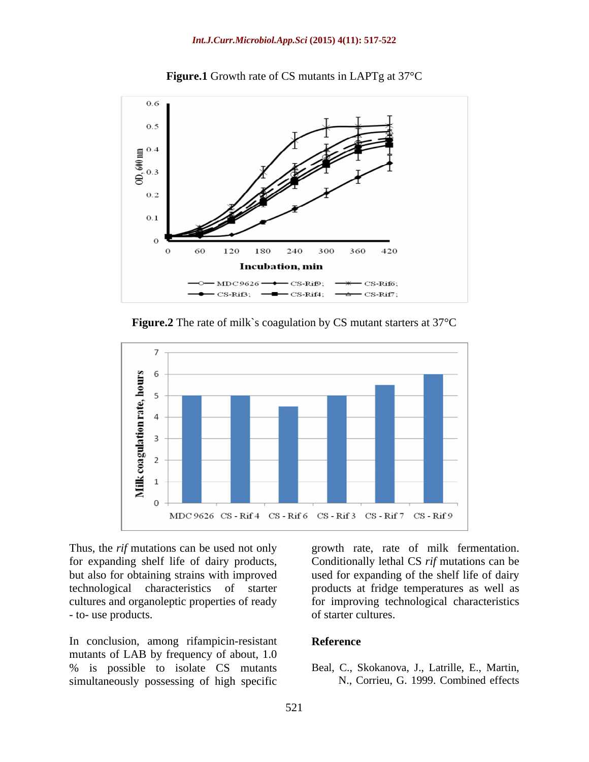

**Figure.1** Growth rate of CS mutants in LAPTg at 37°C





cultures and organoleptic properties of ready for improving tec<br>to- use products. of starter cultures. - to- use products.  $\qquad \qquad$  of starter cultures.

In conclusion, among rifampicin-resistant Reference mutants of LAB by frequency of about, 1.0 % is possible to isolate CS mutants simultaneously possessing of high specific

Thus, the *rif* mutations can be used not only growth rate, rate of milk fermentation. for expanding shelf life of dairy products, Conditionally lethal CS *rif* mutations can be but also for obtaining strains with improved used for expanding of the shelf life of dairy technological characteristics of starter products at fridge temperatures as well as for improving technological characteristics of starter cultures.

#### **Reference**

Beal, C., Skokanova, J., Latrille, E., Martin, N., Corrieu, G. 1999. Combined effects